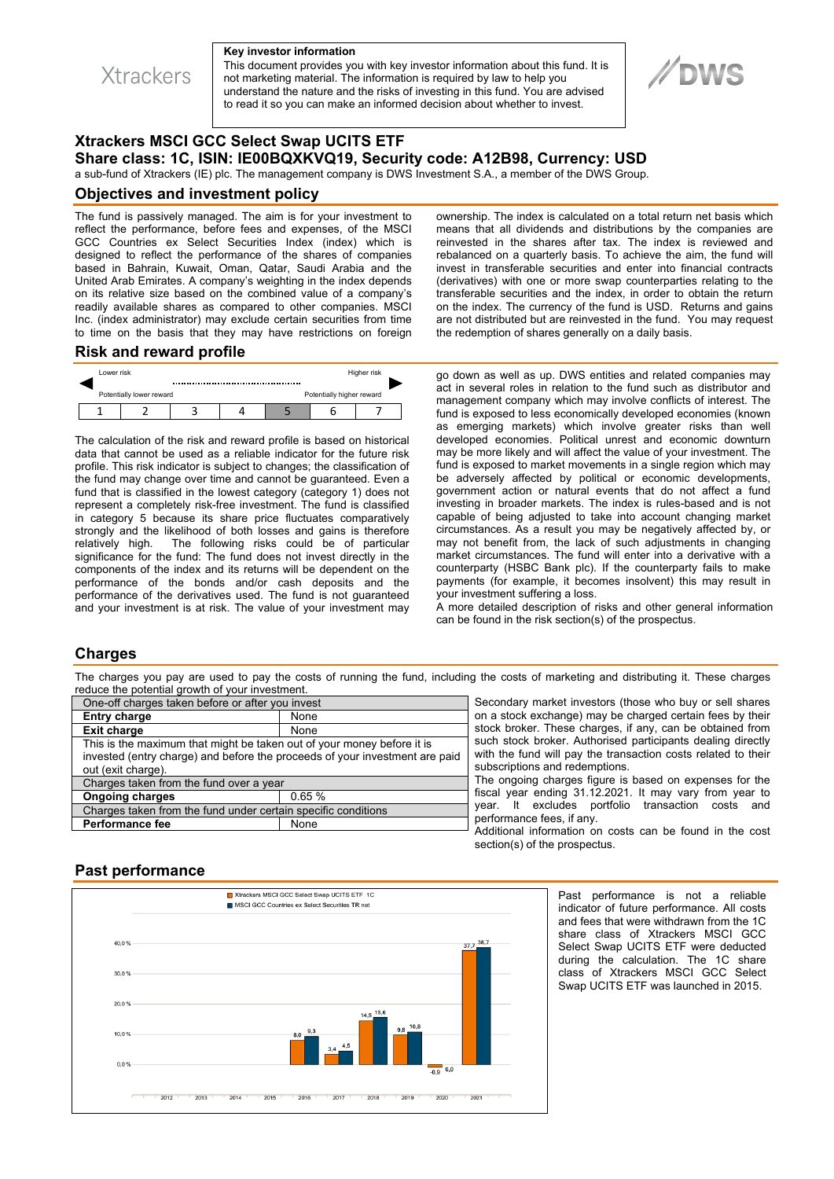

#### **Key investor information**

This document provides you with key investor information about this fund. It is not marketing material. The information is required by law to help you understand the nature and the risks of investing in this fund. You are advised to read it so you can make an informed decision about whether to invest.



# **Xtrackers MSCI GCC Select Swap UCITS ETF Share class: 1C, ISIN: IE00BQXKVQ19, Security code: A12B98, Currency: USD**

a sub-fund of Xtrackers (IE) plc. The management company is DWS Investment S.A., a member of the DWS Group.

#### **Objectives and investment policy**

The fund is passively managed. The aim is for your investment to reflect the performance, before fees and expenses, of the MSCI GCC Countries ex Select Securities Index (index) which is designed to reflect the performance of the shares of companies based in Bahrain, Kuwait, Oman, Qatar, Saudi Arabia and the United Arab Emirates. A company's weighting in the index depends on its relative size based on the combined value of a company's readily available shares as compared to other companies. MSCI Inc. (index administrator) may exclude certain securities from time to time on the basis that they may have restrictions on foreign ownership. The index is calculated on a total return net basis which means that all dividends and distributions by the companies are reinvested in the shares after tax. The index is reviewed and rebalanced on a quarterly basis. To achieve the aim, the fund will invest in transferable securities and enter into financial contracts (derivatives) with one or more swap counterparties relating to the transferable securities and the index, in order to obtain the return on the index. The currency of the fund is USD. Returns and gains are not distributed but are reinvested in the fund. You may request the redemption of shares generally on a daily basis.

## **Risk and reward profile**



The calculation of the risk and reward profile is based on historical data that cannot be used as a reliable indicator for the future risk profile. This risk indicator is subject to changes; the classification of the fund may change over time and cannot be guaranteed. Even a fund that is classified in the lowest category (category 1) does not represent a completely risk-free investment. The fund is classified in category 5 because its share price fluctuates comparatively strongly and the likelihood of both losses and gains is therefore<br>relatively high. The following risks could be of particular The following risks could be of particular significance for the fund: The fund does not invest directly in the components of the index and its returns will be dependent on the performance of the bonds and/or cash deposits and the performance of the derivatives used. The fund is not guaranteed and your investment is at risk. The value of your investment may

go down as well as up. DWS entities and related companies may act in several roles in relation to the fund such as distributor and management company which may involve conflicts of interest. The fund is exposed to less economically developed economies (known as emerging markets) which involve greater risks than well developed economies. Political unrest and economic downturn may be more likely and will affect the value of your investment. The fund is exposed to market movements in a single region which may be adversely affected by political or economic developments, government action or natural events that do not affect a fund investing in broader markets. The index is rules-based and is not capable of being adjusted to take into account changing market circumstances. As a result you may be negatively affected by, or may not benefit from, the lack of such adjustments in changing market circumstances. The fund will enter into a derivative with a counterparty (HSBC Bank plc). If the counterparty fails to make payments (for example, it becomes insolvent) this may result in your investment suffering a loss.

A more detailed description of risks and other general information can be found in the risk section(s) of the prospectus.

#### **Charges**

The charges you pay are used to pay the costs of running the fund, including the costs of marketing and distributing it. These charges reduce the potential growth of your investment.

| One-off charges taken before or after you invest                                                                                                                            |       |
|-----------------------------------------------------------------------------------------------------------------------------------------------------------------------------|-------|
| <b>Entry charge</b>                                                                                                                                                         | None  |
| <b>Exit charge</b>                                                                                                                                                          | None  |
| This is the maximum that might be taken out of your money before it is<br>invested (entry charge) and before the proceeds of your investment are paid<br>out (exit charge). |       |
| Charges taken from the fund over a year                                                                                                                                     |       |
| <b>Ongoing charges</b>                                                                                                                                                      | 0.65% |
| Charges taken from the fund under certain specific conditions                                                                                                               |       |
| <b>Performance fee</b>                                                                                                                                                      | None  |

Secondary market investors (those who buy or sell shares on a stock exchange) may be charged certain fees by their stock broker. These charges, if any, can be obtained from such stock broker. Authorised participants dealing directly with the fund will pay the transaction costs related to their subscriptions and redemptions.

The ongoing charges figure is based on expenses for the fiscal year ending 31.12.2021. It may vary from year to year. It excludes portfolio transaction costs and performance fees, if any.

Additional information on costs can be found in the cost section(s) of the prospectus.

# **Past performance**



Past performance is not a reliable indicator of future performance. All costs and fees that were withdrawn from the 1C share class of Xtrackers MSCI GCC Select Swap UCITS ETF were deducted during the calculation. The 1C share class of Xtrackers MSCI GCC Select Swap UCITS ETF was launched in 2015.